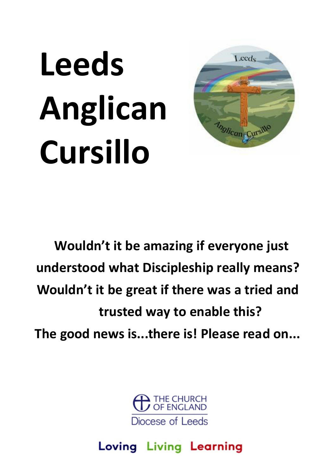# **Leeds Anglican Cursillo**



**Wouldn't it be amazing if everyone just understood what Discipleship really means? Wouldn't it be great if there was a tried and trusted way to enable this? The good news is...there is! Please read on...**



Loving Living Learning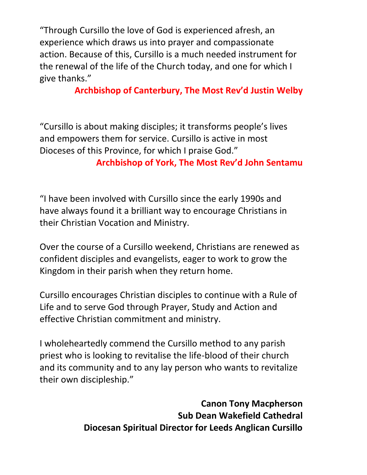"Through Cursillo the love of God is experienced afresh, an experience which draws us into prayer and compassionate action. Because of this, Cursillo is a much needed instrument for the renewal of the life of the Church today, and one for which I give thanks."

**Archbishop of Canterbury, The Most Rev'd Justin Welby**

"Cursillo is about making disciples; it transforms people's lives and empowers them for service. Cursillo is active in most Dioceses of this Province, for which I praise God."

**Archbishop of York, The Most Rev'd John Sentamu**

"I have been involved with Cursillo since the early 1990s and have always found it a brilliant way to encourage Christians in their Christian Vocation and Ministry.

Over the course of a Cursillo weekend, Christians are renewed as confident disciples and evangelists, eager to work to grow the Kingdom in their parish when they return home.

Cursillo encourages Christian disciples to continue with a Rule of Life and to serve God through Prayer, Study and Action and effective Christian commitment and ministry.

I wholeheartedly commend the Cursillo method to any parish priest who is looking to revitalise the life-blood of their church and its community and to any lay person who wants to revitalize their own discipleship."

> **Canon Tony Macpherson Sub Dean Wakefield Cathedral Diocesan Spiritual Director for Leeds Anglican Cursillo**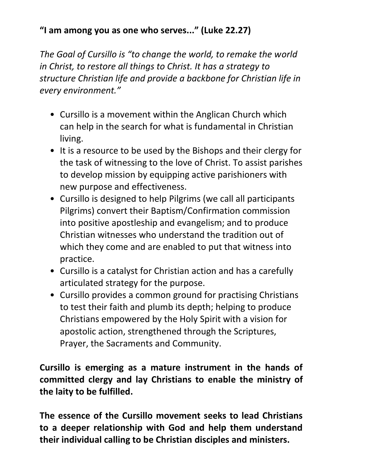## **"I am among you as one who serves..." (Luke 22.27)**

*The Goal of Cursillo is "to change the world, to remake the world in Christ, to restore all things to Christ. It has a strategy to structure Christian life and provide a backbone for Christian life in every environment."*

- Cursillo is a movement within the Anglican Church which can help in the search for what is fundamental in Christian living.
- It is a resource to be used by the Bishops and their clergy for the task of witnessing to the love of Christ. To assist parishes to develop mission by equipping active parishioners with new purpose and effectiveness.
- Cursillo is designed to help Pilgrims (we call all participants Pilgrims) convert their Baptism/Confirmation commission into positive apostleship and evangelism; and to produce Christian witnesses who understand the tradition out of which they come and are enabled to put that witness into practice.
- Cursillo is a catalyst for Christian action and has a carefully articulated strategy for the purpose.
- Cursillo provides a common ground for practising Christians to test their faith and plumb its depth; helping to produce Christians empowered by the Holy Spirit with a vision for apostolic action, strengthened through the Scriptures, Prayer, the Sacraments and Community.

**Cursillo is emerging as a mature instrument in the hands of committed clergy and lay Christians to enable the ministry of the laity to be fulfilled.**

**The essence of the Cursillo movement seeks to lead Christians to a deeper relationship with God and help them understand their individual calling to be Christian disciples and ministers.**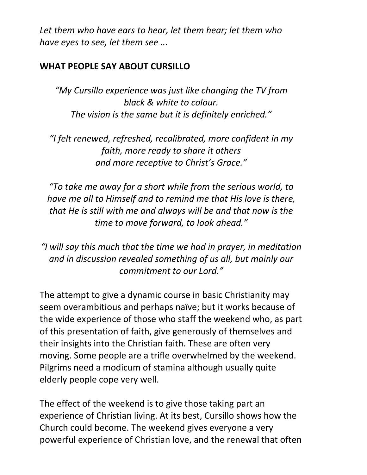*Let them who have ears to hear, let them hear; let them who have eyes to see, let them see ...*

#### **WHAT PEOPLE SAY ABOUT CURSILLO**

*"My Cursillo experience was just like changing the TV from black & white to colour. The vision is the same but it is definitely enriched."*

*"I felt renewed, refreshed, recalibrated, more confident in my faith, more ready to share it others and more receptive to Christ's Grace."*

*"To take me away for a short while from the serious world, to have me all to Himself and to remind me that His love is there, that He is still with me and always will be and that now is the time to move forward, to look ahead."*

*"I will say this much that the time we had in prayer, in meditation and in discussion revealed something of us all, but mainly our commitment to our Lord."*

The attempt to give a dynamic course in basic Christianity may seem overambitious and perhaps naïve; but it works because of the wide experience of those who staff the weekend who, as part of this presentation of faith, give generously of themselves and their insights into the Christian faith. These are often very moving. Some people are a trifle overwhelmed by the weekend. Pilgrims need a modicum of stamina although usually quite elderly people cope very well.

The effect of the weekend is to give those taking part an experience of Christian living. At its best, Cursillo shows how the Church could become. The weekend gives everyone a very powerful experience of Christian love, and the renewal that often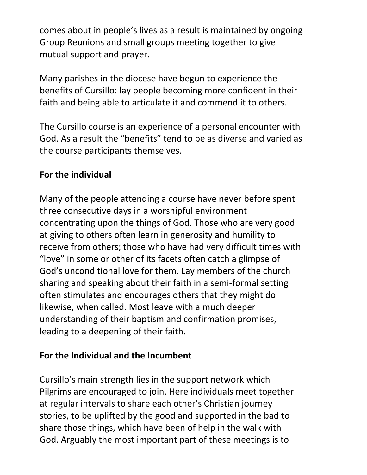comes about in people's lives as a result is maintained by ongoing Group Reunions and small groups meeting together to give mutual support and prayer.

Many parishes in the diocese have begun to experience the benefits of Cursillo: lay people becoming more confident in their faith and being able to articulate it and commend it to others.

The Cursillo course is an experience of a personal encounter with God. As a result the "benefits" tend to be as diverse and varied as the course participants themselves.

## **For the individual**

Many of the people attending a course have never before spent three consecutive days in a worshipful environment concentrating upon the things of God. Those who are very good at giving to others often learn in generosity and humility to receive from others; those who have had very difficult times with "love" in some or other of its facets often catch a glimpse of God's unconditional love for them. Lay members of the church sharing and speaking about their faith in a semi-formal setting often stimulates and encourages others that they might do likewise, when called. Most leave with a much deeper understanding of their baptism and confirmation promises, leading to a deepening of their faith.

### **For the Individual and the Incumbent**

Cursillo's main strength lies in the support network which Pilgrims are encouraged to join. Here individuals meet together at regular intervals to share each other's Christian journey stories, to be uplifted by the good and supported in the bad to share those things, which have been of help in the walk with God. Arguably the most important part of these meetings is to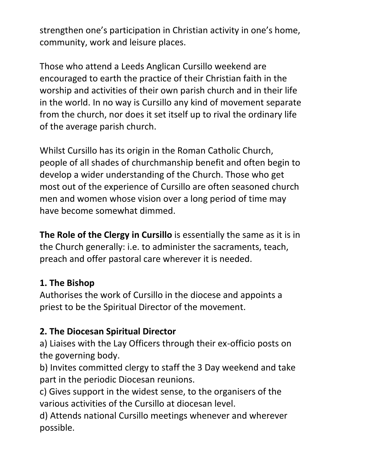strengthen one's participation in Christian activity in one's home, community, work and leisure places.

Those who attend a Leeds Anglican Cursillo weekend are encouraged to earth the practice of their Christian faith in the worship and activities of their own parish church and in their life in the world. In no way is Cursillo any kind of movement separate from the church, nor does it set itself up to rival the ordinary life of the average parish church.

Whilst Cursillo has its origin in the Roman Catholic Church, people of all shades of churchmanship benefit and often begin to develop a wider understanding of the Church. Those who get most out of the experience of Cursillo are often seasoned church men and women whose vision over a long period of time may have become somewhat dimmed.

**The Role of the Clergy in Cursillo** is essentially the same as it is in the Church generally: i.e. to administer the sacraments, teach, preach and offer pastoral care wherever it is needed.

### **1. The Bishop**

Authorises the work of Cursillo in the diocese and appoints a priest to be the Spiritual Director of the movement.

# **2. The Diocesan Spiritual Director**

a) Liaises with the Lay Officers through their ex-officio posts on the governing body.

b) Invites committed clergy to staff the 3 Day weekend and take part in the periodic Diocesan reunions.

c) Gives support in the widest sense, to the organisers of the various activities of the Cursillo at diocesan level.

d) Attends national Cursillo meetings whenever and wherever possible.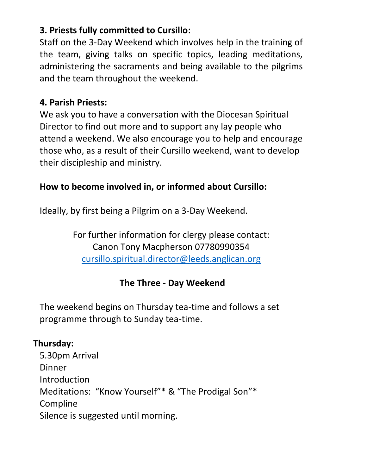## **3. Priests fully committed to Cursillo:**

Staff on the 3-Day Weekend which involves help in the training of the team, giving talks on specific topics, leading meditations, administering the sacraments and being available to the pilgrims and the team throughout the weekend.

## **4. Parish Priests:**

We ask you to have a conversation with the Diocesan Spiritual Director to find out more and to support any lay people who attend a weekend. We also encourage you to help and encourage those who, as a result of their Cursillo weekend, want to develop their discipleship and ministry.

## **How to become involved in, or informed about Cursillo:**

Ideally, by first being a Pilgrim on a 3-Day Weekend.

For further information for clergy please contact: Canon Tony Macpherson 07780990354 cursillo.spiritual.director@leeds.anglican.org

# **The Three - Day Weekend**

The weekend begins on Thursday tea-time and follows a set programme through to Sunday tea-time.

## **Thursday:**

5.30pm Arrival **Dinner Introduction** Meditations: "Know Yourself"\* & "The Prodigal Son"\* Compline Silence is suggested until morning.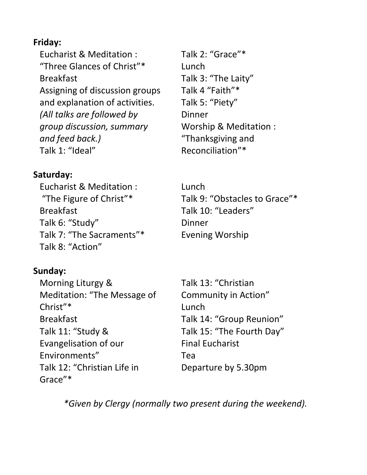#### **Friday:**

Eucharist & Meditation : "Three Glances of Christ"\* Breakfast Assigning of discussion groups and explanation of activities. *(All talks are followed by group discussion, summary and feed back.)* Talk 1: "Ideal"

#### **Saturday:**

Eucharist & Meditation : "The Figure of Christ"\* Breakfast Talk 6: "Study" Talk 7: "The Sacraments"\* Talk 8: "Action"

### **Sunday:**

Morning Liturgy & Meditation: "The Message of Christ"\* Breakfast Talk 11: "Study & Evangelisation of our Environments" Talk 12: "Christian Life in Grace"\*

Talk 2: "Grace"\* Lunch Talk 3: "The Laity" Talk 4 "Faith"\* Talk 5: "Piety" **Dinner** Worship & Meditation : "Thanksgiving and Reconciliation"\*

Lunch Talk 9: "Obstacles to Grace"\* Talk 10: "Leaders" Dinner Evening Worship

Talk 13: "Christian Community in Action" Lunch Talk 14: "Group Reunion" Talk 15: "The Fourth Day" Final Eucharist Tea Departure by 5.30pm

*\*Given by Clergy (normally two present during the weekend).*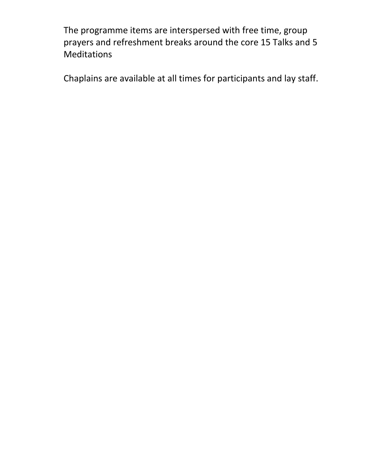The programme items are interspersed with free time, group prayers and refreshment breaks around the core 15 Talks and 5 Meditations

Chaplains are available at all times for participants and lay staff.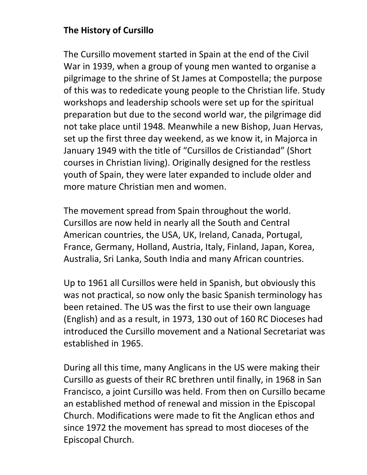### **The History of Cursillo**

The Cursillo movement started in Spain at the end of the Civil War in 1939, when a group of young men wanted to organise a pilgrimage to the shrine of St James at Compostella; the purpose of this was to rededicate young people to the Christian life. Study workshops and leadership schools were set up for the spiritual preparation but due to the second world war, the pilgrimage did not take place until 1948. Meanwhile a new Bishop, Juan Hervas, set up the first three day weekend, as we know it, in Majorca in January 1949 with the title of "Cursillos de Cristiandad" (Short courses in Christian living). Originally designed for the restless youth of Spain, they were later expanded to include older and more mature Christian men and women.

The movement spread from Spain throughout the world. Cursillos are now held in nearly all the South and Central American countries, the USA, UK, Ireland, Canada, Portugal, France, Germany, Holland, Austria, Italy, Finland, Japan, Korea, Australia, Sri Lanka, South India and many African countries.

Up to 1961 all Cursillos were held in Spanish, but obviously this was not practical, so now only the basic Spanish terminology has been retained. The US was the first to use their own language (English) and as a result, in 1973, 130 out of 160 RC Dioceses had introduced the Cursillo movement and a National Secretariat was established in 1965.

During all this time, many Anglicans in the US were making their Cursillo as guests of their RC brethren until finally, in 1968 in San Francisco, a joint Cursillo was held. From then on Cursillo became an established method of renewal and mission in the Episcopal Church. Modifications were made to fit the Anglican ethos and since 1972 the movement has spread to most dioceses of the Episcopal Church.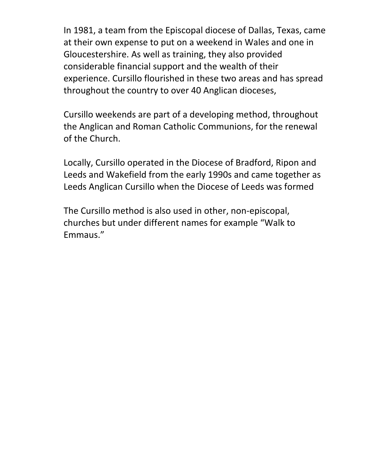In 1981, a team from the Episcopal diocese of Dallas, Texas, came at their own expense to put on a weekend in Wales and one in Gloucestershire. As well as training, they also provided considerable financial support and the wealth of their experience. Cursillo flourished in these two areas and has spread throughout the country to over 40 Anglican dioceses,

Cursillo weekends are part of a developing method, throughout the Anglican and Roman Catholic Communions, for the renewal of the Church.

Locally, Cursillo operated in the Diocese of Bradford, Ripon and Leeds and Wakefield from the early 1990s and came together as Leeds Anglican Cursillo when the Diocese of Leeds was formed

The Cursillo method is also used in other, non-episcopal, churches but under different names for example "Walk to Emmaus."